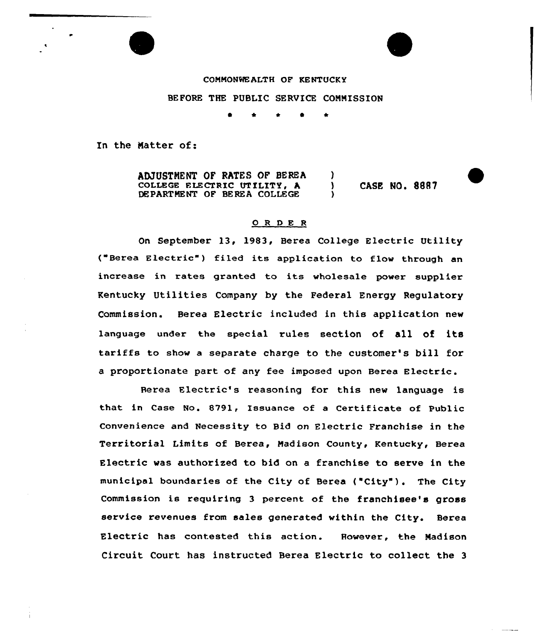## COMMONWEALTH OF KENTUCKY

BEFORE THE PUBLIC SERVICE COMMISSION

<sup>~</sup> \* \* l \*

In the Matter of:

ADJUSTMENT OF RATES OF BEREA (1)<br>COLLEGE ELECTRIC UTILITY. A (1) COLLEGE ELECTRIC UTILITY, A ) CASE NO. 8887 DEPARTMENT OF BEREA COLLEGE

## O R D E R

On September l3, 1983, Berea College Electric Utility ("Berea Electric" ) filed its application to flow through an increase in rates granted to its wholesale power suppl'er Kentucky Utilities Company by the Federal Energy Regulatory Commission. Berea Electric included in this application new language under the special rules section of all of its tariffs to show <sup>a</sup> separate charge to the customer's bill for <sup>a</sup> proportionate part of any fee imposed upon Berea Electric.

Herea Electric's reasoning for this new language is that in Case No. 8791, Issuance of a Certificate of Public Convenience and Necessity to Bid on Electric Franchise in the Territorial Limits of Berea, Madison County, Kentucky, Berea Electric was authorised to bid on a franchise to serve in the municipal boundaries of the City of Berea {"City"). The City Commission is requiring <sup>3</sup> percent of the franchisee's gross service revenues from sales generated within the City. Berea Electric has contested this action. However, the Madison Circuit Court has instructed Berea Electric to collect the <sup>3</sup>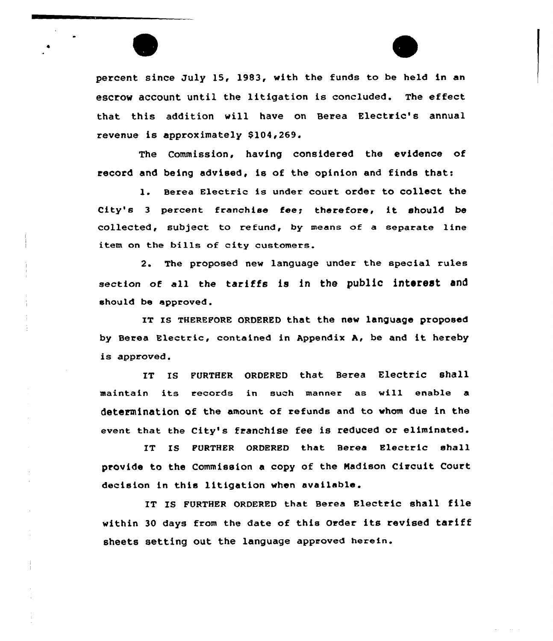percent since July 15, 1983, with the funds to be held in an escrow account until the litigation is concluded. The effect that this addition will have on Berea Electric's annual revenue is approximately \$104,269.

The Commission, having considered the evidence of record and being advised, is af the opinion and finds that:

1. Berea Electric is under court order to collect the City's <sup>3</sup> percent franchise fee; therefore, it should be collected, subject to refund, by means of a separate line item on the bills of city customers.

2. The proposed new language under the special rules section of all the tariffs is in the public interest and should be approved.

IT IS THEREFORE ORDERED that the new language proposed by Berea Electric, contained in Appendix A, be and it hereby is approved.

IT IS FURTHER ORDERED that Berea Electric shall maintain its records in such manner as will enable a determination of the amount of refunds and to whom due in the event that the City's franchise fee is reduced or eliminated.

IT IS FURTHER ORDERED that Berea Electric shall provide to the Commissian a copy of the Nadison Circuit Court decision in this litigation when available.

IT Is FURTHER oRDERED that Berea Electric shall tile within 30 days from the date of this Order its revised tariff sheets setting out the language approved herein.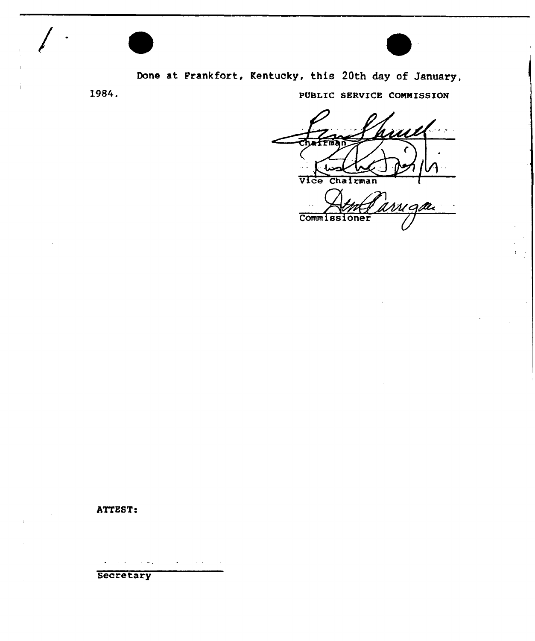

Done at Frankfort, Kentucky, this 20th day of January,

1984.

PUBLIC SERVICE COMMISSION

Vice Chairman

arriga **Commissioner** 

## ATTEST

 $\epsilon$  ,  $\sigma$  .  $\mathcal{A}^{\pm}$  $\mathcal{A}=\mathcal{A}^{\mathrm{c}}$  ,  $\mathcal{A}^{\mathrm{c}}$ 

**Secretary**